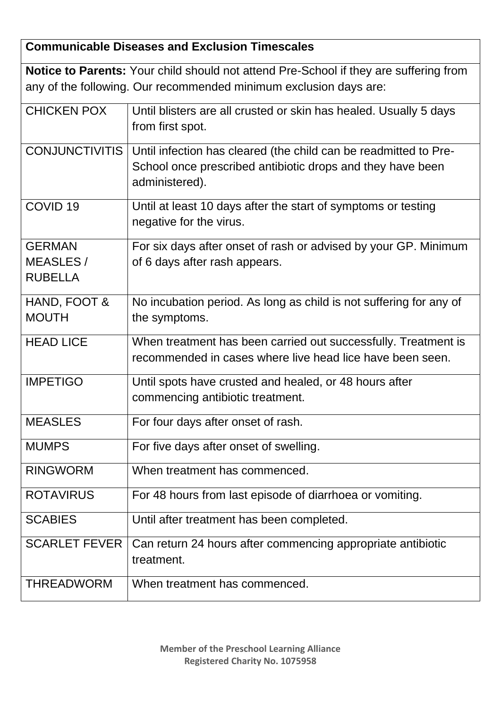## **Communicable Diseases and Exclusion Timescales**

|                                                    | <b>Notice to Parents:</b> Your child should not attend Pre-School if they are suffering from                                                     |
|----------------------------------------------------|--------------------------------------------------------------------------------------------------------------------------------------------------|
|                                                    | any of the following. Our recommended minimum exclusion days are:                                                                                |
| <b>CHICKEN POX</b>                                 | Until blisters are all crusted or skin has healed. Usually 5 days<br>from first spot.                                                            |
| <b>CONJUNCTIVITIS</b>                              | Until infection has cleared (the child can be readmitted to Pre-<br>School once prescribed antibiotic drops and they have been<br>administered). |
| COVID <sub>19</sub>                                | Until at least 10 days after the start of symptoms or testing<br>negative for the virus.                                                         |
| <b>GERMAN</b><br><b>MEASLES/</b><br><b>RUBELLA</b> | For six days after onset of rash or advised by your GP. Minimum<br>of 6 days after rash appears.                                                 |
| HAND, FOOT &<br><b>MOUTH</b>                       | No incubation period. As long as child is not suffering for any of<br>the symptoms.                                                              |
| <b>HEAD LICE</b>                                   | When treatment has been carried out successfully. Treatment is<br>recommended in cases where live head lice have been seen.                      |
| <b>IMPETIGO</b>                                    | Until spots have crusted and healed, or 48 hours after<br>commencing antibiotic treatment.                                                       |
| <b>MEASLES</b>                                     | For four days after onset of rash.                                                                                                               |
| <b>MUMPS</b>                                       | For five days after onset of swelling.                                                                                                           |
| <b>RINGWORM</b>                                    | When treatment has commenced.                                                                                                                    |
| <b>ROTAVIRUS</b>                                   | For 48 hours from last episode of diarrhoea or vomiting.                                                                                         |
| <b>SCABIES</b>                                     | Until after treatment has been completed.                                                                                                        |
| <b>SCARLET FEVER</b>                               | Can return 24 hours after commencing appropriate antibiotic<br>treatment.                                                                        |
| <b>THREADWORM</b>                                  | When treatment has commenced.                                                                                                                    |